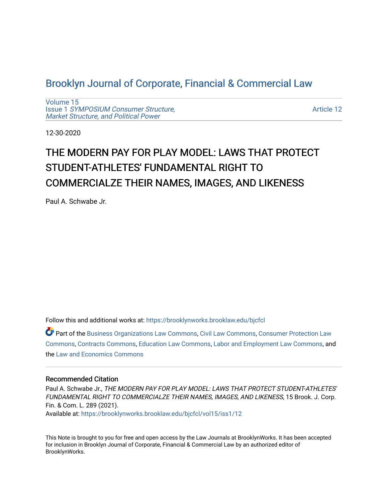# [Brooklyn Journal of Corporate, Financial & Commercial Law](https://brooklynworks.brooklaw.edu/bjcfcl)

[Volume 15](https://brooklynworks.brooklaw.edu/bjcfcl/vol15) Issue 1 [SYMPOSIUM Consumer Structure,](https://brooklynworks.brooklaw.edu/bjcfcl/vol15/iss1) [Market Structure, and Political Power](https://brooklynworks.brooklaw.edu/bjcfcl/vol15/iss1)

[Article 12](https://brooklynworks.brooklaw.edu/bjcfcl/vol15/iss1/12) 

12-30-2020

# THE MODERN PAY FOR PLAY MODEL: LAWS THAT PROTECT STUDENT-ATHLETES' FUNDAMENTAL RIGHT TO COMMERCIALZE THEIR NAMES, IMAGES, AND LIKENESS

Paul A. Schwabe Jr.

Follow this and additional works at: [https://brooklynworks.brooklaw.edu/bjcfcl](https://brooklynworks.brooklaw.edu/bjcfcl?utm_source=brooklynworks.brooklaw.edu%2Fbjcfcl%2Fvol15%2Fiss1%2F12&utm_medium=PDF&utm_campaign=PDFCoverPages)

Part of the [Business Organizations Law Commons](http://network.bepress.com/hgg/discipline/900?utm_source=brooklynworks.brooklaw.edu%2Fbjcfcl%2Fvol15%2Fiss1%2F12&utm_medium=PDF&utm_campaign=PDFCoverPages), [Civil Law Commons,](http://network.bepress.com/hgg/discipline/835?utm_source=brooklynworks.brooklaw.edu%2Fbjcfcl%2Fvol15%2Fiss1%2F12&utm_medium=PDF&utm_campaign=PDFCoverPages) [Consumer Protection Law](http://network.bepress.com/hgg/discipline/838?utm_source=brooklynworks.brooklaw.edu%2Fbjcfcl%2Fvol15%2Fiss1%2F12&utm_medium=PDF&utm_campaign=PDFCoverPages) [Commons](http://network.bepress.com/hgg/discipline/838?utm_source=brooklynworks.brooklaw.edu%2Fbjcfcl%2Fvol15%2Fiss1%2F12&utm_medium=PDF&utm_campaign=PDFCoverPages), [Contracts Commons](http://network.bepress.com/hgg/discipline/591?utm_source=brooklynworks.brooklaw.edu%2Fbjcfcl%2Fvol15%2Fiss1%2F12&utm_medium=PDF&utm_campaign=PDFCoverPages), [Education Law Commons,](http://network.bepress.com/hgg/discipline/596?utm_source=brooklynworks.brooklaw.edu%2Fbjcfcl%2Fvol15%2Fiss1%2F12&utm_medium=PDF&utm_campaign=PDFCoverPages) [Labor and Employment Law Commons](http://network.bepress.com/hgg/discipline/909?utm_source=brooklynworks.brooklaw.edu%2Fbjcfcl%2Fvol15%2Fiss1%2F12&utm_medium=PDF&utm_campaign=PDFCoverPages), and the [Law and Economics Commons](http://network.bepress.com/hgg/discipline/612?utm_source=brooklynworks.brooklaw.edu%2Fbjcfcl%2Fvol15%2Fiss1%2F12&utm_medium=PDF&utm_campaign=PDFCoverPages)

## Recommended Citation

Paul A. Schwabe Jr., THE MODERN PAY FOR PLAY MODEL: LAWS THAT PROTECT STUDENT-ATHLETES' FUNDAMENTAL RIGHT TO COMMERCIALZE THEIR NAMES, IMAGES, AND LIKENESS, 15 Brook. J. Corp. Fin. & Com. L. 289 (2021). Available at: [https://brooklynworks.brooklaw.edu/bjcfcl/vol15/iss1/12](https://brooklynworks.brooklaw.edu/bjcfcl/vol15/iss1/12?utm_source=brooklynworks.brooklaw.edu%2Fbjcfcl%2Fvol15%2Fiss1%2F12&utm_medium=PDF&utm_campaign=PDFCoverPages) 

This Note is brought to you for free and open access by the Law Journals at BrooklynWorks. It has been accepted for inclusion in Brooklyn Journal of Corporate, Financial & Commercial Law by an authorized editor of BrooklynWorks.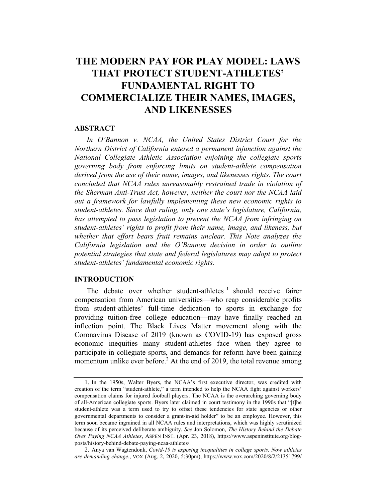# THE MODERN PAY FOR PLAY MODEL: LAWS THAT PROTECT STUDENT-ATHLETES' FUNDAMENTAL RIGHT TO COMMERCIALIZE THEIR NAMES, IMAGES, AND LIKENESSES

#### **ABSTRACT**

In O'Bannon v. NCAA, the United States District Court for the Northern District of California entered a permanent injunction against the National Collegiate Athletic Association enjoining the collegiate sports governing body from enforcing limits on student-athlete compensation derived from the use of their name, images, and likenesses rights. The court concluded that NCAA rules unreasonably restrained trade in violation of the Sherman Anti-Trust Act, however, neither the court nor the NCAA laid out a framework for lawfully implementing these new economic rights to student-athletes. Since that ruling, only one state's legislature, California, has attempted to pass legislation to prevent the NCAA from infringing on student-athletes' rights to profit from their name, image, and likeness, but whether that effort bears fruit remains unclear. This Note analyzes the California legislation and the O'Bannon decision in order to outline potential strategies that state and federal legislatures may adopt to protect student-athletes' fundamental economic rights.

# INTRODUCTION

The debate over whether student-athletes  $\frac{1}{1}$  should receive fairer compensation from American universities—who reap considerable profits from student-athletes' full-time dedication to sports in exchange for providing tuition-free college education—may have finally reached an inflection point. The Black Lives Matter movement along with the Coronavirus Disease of 2019 (known as COVID-19) has exposed gross economic inequities many student-athletes face when they agree to participate in collegiate sports, and demands for reform have been gaining momentum unlike ever before.<sup>2</sup> At the end of 2019, the total revenue among

<sup>1.</sup> In the 1950s, Walter Byers, the NCAA's first executive director, was credited with creation of the term "student-athlete," a term intended to help the NCAA fight against workers' compensation claims for injured football players. The NCAA is the overarching governing body of all-American collegiate sports. Byers later claimed in court testimony in the 1990s that "[t]he student-athlete was a term used to try to offset these tendencies for state agencies or other governmental departments to consider a grant-in-aid holder" to be an employee. However, this term soon became ingrained in all NCAA rules and interpretations, which was highly scrutinized because of its perceived deliberate ambiguity. See Jon Solomon, The History Behind the Debate Over Paying NCAA Athletes, ASPEN INST. (Apr. 23, 2018), https://www.aspeninstitute.org/blogposts/history-behind-debate-paying-ncaa-athletes/.

<sup>2.</sup> Anya van Wagtendonk, Covid-19 is exposing inequalities in college sports. Now athletes are demanding change., VOX (Aug. 2, 2020, 5:30pm), https://www.vox.com/2020/8/2/21351799/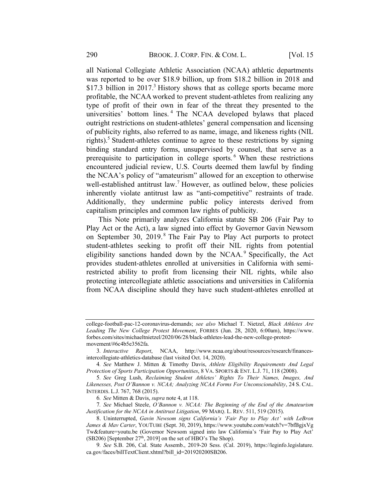all National Collegiate Athletic Association (NCAA) athletic departments was reported to be over \$18.9 billion, up from \$18.2 billion in 2018 and \$17.3 billion in  $2017<sup>3</sup>$  History shows that as college sports became more profitable, the NCAA worked to prevent student-athletes from realizing any type of profit of their own in fear of the threat they presented to the universities' bottom lines. <sup>4</sup> The NCAA developed bylaws that placed outright restrictions on student-athletes' general compensation and licensing of publicity rights, also referred to as name, image, and likeness rights (NIL rights).<sup>5</sup> Student-athletes continue to agree to these restrictions by signing binding standard entry forms, unsupervised by counsel, that serve as a prerequisite to participation in college sports. <sup>6</sup> When these restrictions encountered judicial review, U.S. Courts deemed them lawful by finding the NCAA's policy of "amateurism" allowed for an exception to otherwise well-established antitrust law.<sup>7</sup> However, as outlined below, these policies inherently violate antitrust law as "anti-competitive" restraints of trade. Additionally, they undermine public policy interests derived from capitalism principles and common law rights of publicity.

This Note primarily analyzes California statute SB 206 (Fair Pay to Play Act or the Act), a law signed into effect by Governor Gavin Newsom on September 30, 2019. $8$  The Fair Pay to Play Act purports to protect student-athletes seeking to profit off their NIL rights from potential eligibility sanctions handed down by the NCAA. $9$  Specifically, the Act provides student-athletes enrolled at universities in California with semirestricted ability to profit from licensing their NIL rights, while also protecting intercollegiate athletic associations and universities in California from NCAA discipline should they have such student-athletes enrolled at

college-football-pac-12-coronavirus-demands; see also Michael T. Nietzel, Black Athletes Are Leading The New College Protest Movement, FORBES (Jun. 28, 2020, 6:00am), https://www. forbes.com/sites/michaeltnietzel/2020/06/28/black-athletes-lead-the-new-college-protestmovement/#6c4b5e3562fa.

<sup>3</sup>. Interactive Report, NCAA, http://www.ncaa.org/about/resources/research/financesintercollegiate-athletics-database (last visited Oct. 14, 2020).

<sup>4</sup>. See Matthew J. Mitten & Timothy Davis, Athlete Eligibility Requirements And Legal Protection of Sports Participation Opportunities, 8 VA. SPORTS & ENT. L.J. 71, 118 (2008).

<sup>5</sup>. See Greg Lush, Reclaiming Student Athletes' Rights To Their Names, Images, And Likenesses, Post O'Bannon v. NCAA; Analyzing NCAA Forms For Unconscionability, 24 S. CAL. INTERDIS. L.J. 767, 768 (2015).

<sup>6</sup>. See Mitten & Davis, supra note 4, at 118.

<sup>7</sup>. See Michael Steele, O'Bannon v. NCAA: The Beginning of the End of the Amateurism Justification for the NCAA in Antitrust Litigation, 99 MARQ. L. REV. 511, 519 (2015).

<sup>8.</sup> Uninterrupted, Gavin Newsom signs California's 'Fair Pay to Play Act' with LeBron James & Mav Carter, YOUTUBE (Sept. 30, 2019), https://www.youtube.com/watch?v=7bfBgjxVg Tw&feature=youtu.be (Governor Newsom signed into law California's 'Fair Pay to Play Act'  $(SB206)$  [September 27<sup>th</sup>, 2019] on the set of HBO's The Shop).

<sup>9</sup>. See S.B. 206, Cal. State Assemb., 2019-20 Sess. (Cal. 2019), https://leginfo.legislature. ca.gov/faces/billTextClient.xhtml?bill\_id=201920200SB206.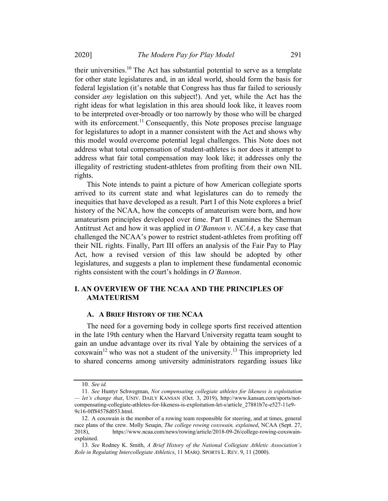2020] The Modern Pay for Play Model 291

their universities.<sup>10</sup> The Act has substantial potential to serve as a template for other state legislatures and, in an ideal world, should form the basis for federal legislation (it's notable that Congress has thus far failed to seriously consider any legislation on this subject!). And yet, while the Act has the right ideas for what legislation in this area should look like, it leaves room to be interpreted over-broadly or too narrowly by those who will be charged with its enforcement.<sup>11</sup> Consequently, this Note proposes precise language for legislatures to adopt in a manner consistent with the Act and shows why this model would overcome potential legal challenges. This Note does not address what total compensation of student-athletes is nor does it attempt to address what fair total compensation may look like; it addresses only the illegality of restricting student-athletes from profiting from their own NIL rights.

This Note intends to paint a picture of how American collegiate sports arrived to its current state and what legislatures can do to remedy the inequities that have developed as a result. Part I of this Note explores a brief history of the NCAA, how the concepts of amateurism were born, and how amateurism principles developed over time. Part II examines the Sherman Antitrust Act and how it was applied in  $O<sup>2</sup>Bannon$  v. NCAA, a key case that challenged the NCAA's power to restrict student-athletes from profiting off their NIL rights. Finally, Part III offers an analysis of the Fair Pay to Play Act, how a revised version of this law should be adopted by other legislatures, and suggests a plan to implement these fundamental economic rights consistent with the court's holdings in O'Bannon.

# I. AN OVERVIEW OF THE NCAA AND THE PRINCIPLES OF **AMATEURISM**

# A. A BRIEF HISTORY OF THE NCAA

The need for a governing body in college sports first received attention in the late 19th century when the Harvard University regatta team sought to gain an undue advantage over its rival Yale by obtaining the services of a  $\cos$ wain<sup>12</sup> who was not a student of the university.<sup>13</sup> This impropriety led to shared concerns among university administrators regarding issues like

<sup>10</sup>. See id.

<sup>11</sup>. See Huntyr Schwegman, Not compensating collegiate athletes for likeness is exploitation — let's change that, UNIV. DAILY KANSAN (Oct. 3, 2019), http://www.kansan.com/sports/notcompensating-collegiate-athletes-for-likeness-is-exploitation-let-s/article\_27881b7e-e527-11e9- 9c16-0ff84578d053.html.

<sup>12.</sup> A coxswain is the member of a rowing team responsible for steering, and at times, general race plans of the crew. Molly Seuqin, The college rowing coxswain, explained, NCAA (Sept. 27, 2018), https://www.ncaa.com/news/rowing/article/2018-09-26/college-rowing-coxswainexplained.

<sup>13.</sup> See Rodney K. Smith, A Brief History of the National Collegiate Athletic Association's Role in Regulating Intercollegiate Athletics, 11 MARQ. SPORTS L. REV. 9, 11 (2000).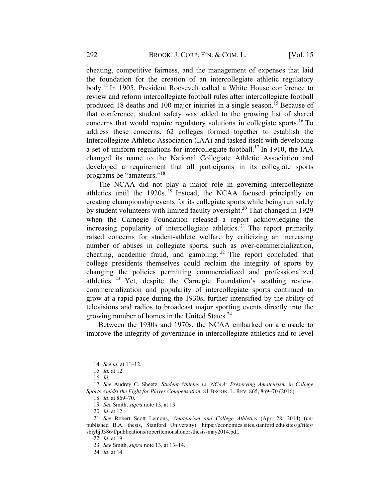cheating, competitive fairness, and the management of expenses that laid the foundation for the creation of an intercollegiate athletic regulatory body.14 In 1905, President Roosevelt called a White House conference to review and reform intercollegiate football rules after intercollegiate football produced 18 deaths and 100 major injuries in a single season.<sup>15</sup> Because of that conference, student safety was added to the growing list of shared concerns that would require regulatory solutions in collegiate sports. <sup>16</sup> To address these concerns, 62 colleges formed together to establish the Intercollegiate Athletic Association (IAA) and tasked itself with developing a set of uniform regulations for intercollegiate football.<sup>17</sup> In 1910, the IAA changed its name to the National Collegiate Athletic Association and developed a requirement that all participants in its collegiate sports programs be "amateurs."<sup>18</sup>

The NCAA did not play a major role in governing intercollegiate athletics until the  $1920s$ . <sup>19</sup> Instead, the NCAA focused principally on creating championship events for its collegiate sports while being run solely by student volunteers with limited faculty oversight.<sup>20</sup> That changed in 1929 when the Carnegie Foundation released a report acknowledging the increasing popularity of intercollegiate athletics.<sup>21</sup> The report primarily raised concerns for student-athlete welfare by criticizing an increasing number of abuses in collegiate sports, such as over-commercialization, cheating, academic fraud, and gambling.  $22$  The report concluded that college presidents themselves could reclaim the integrity of sports by changing the policies permitting commercialized and professionalized athletics. <sup>23</sup> Yet, despite the Carnegie Foundation's scathing review, commercialization and popularity of intercollegiate sports continued to grow at a rapid pace during the 1930s, further intensified by the ability of televisions and radios to broadcast major sporting events directly into the growing number of homes in the United States.<sup>24</sup>

Between the 1930s and 1970s, the NCAA embarked on a crusade to improve the integrity of governance in intercollegiate athletics and to level

19. See Smith, supra note 13, at 13.

20. Id. at 12.

22. Id. at 19.

<sup>14</sup>. See id. at 11–12.

<sup>15</sup>. Id. at 12.

<sup>16</sup>. Id.

<sup>17</sup>. See Audrey C. Sheetz, Student-Athletes vs. NCAA: Preserving Amateurism in College Sports Amidst the Fight for Player Compensation, 81 BROOK. L. REV. 865, 869–70 (2016).

<sup>18</sup>. Id. at 869–70.

<sup>21</sup>. See Robert Scott Lemons, Amateurism and College Athletics (Apr. 28, 2014) (unpublished B.A. thesis, Stanford University), https://economics.sites.stanford.edu/sites/g/files/ sbiybj9386/f/publications/robertlemonshonorsthesis-may2014.pdf.

<sup>23</sup>. See Smith, supra note 13, at 13–14.

<sup>24</sup>. Id. at 14.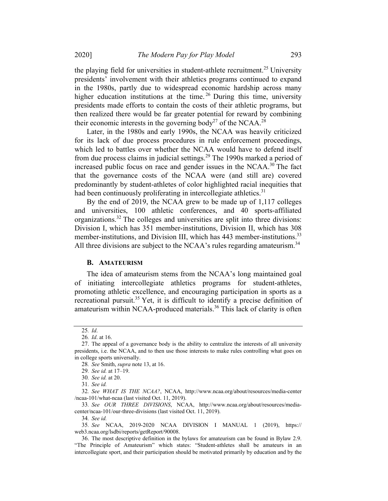the playing field for universities in student-athlete recruitment.<sup>25</sup> University presidents' involvement with their athletics programs continued to expand in the 1980s, partly due to widespread economic hardship across many higher education institutions at the time.<sup>26</sup> During this time, university presidents made efforts to contain the costs of their athletic programs, but then realized there would be far greater potential for reward by combining their economic interests in the governing body<sup>27</sup> of the NCAA.<sup>28</sup>

Later, in the 1980s and early 1990s, the NCAA was heavily criticized for its lack of due process procedures in rule enforcement proceedings, which led to battles over whether the NCAA would have to defend itself from due process claims in judicial settings.<sup>29</sup> The 1990s marked a period of increased public focus on race and gender issues in the NCAA. $^{30}$  The fact that the governance costs of the NCAA were (and still are) covered predominantly by student-athletes of color highlighted racial inequities that had been continuously proliferating in intercollegiate athletics.<sup>31</sup>

By the end of 2019, the NCAA grew to be made up of 1,117 colleges and universities, 100 athletic conferences, and 40 sports-affiliated organizations.<sup>32</sup> The colleges and universities are split into three divisions: Division I, which has 351 member-institutions, Division II, which has 308 member-institutions, and Division III, which has 443 member-institutions.<sup>33</sup> All three divisions are subject to the NCAA's rules regarding amateurism.<sup>34</sup>

#### **B. AMATEURISM**

The idea of amateurism stems from the NCAA's long maintained goal of initiating intercollegiate athletics programs for student-athletes, promoting athletic excellence, and encouraging participation in sports as a recreational pursuit.<sup>35</sup> Yet, it is difficult to identify a precise definition of amateurism within NCAA-produced materials.<sup>36</sup> This lack of clarity is often

28. See Smith, supra note 13, at 16.

29. See id. at 17–19.

31. See id.

33. See OUR THREE DIVISIONS, NCAA, http://www.ncaa.org/about/resources/mediacenter/ncaa-101/our-three-divisions (last visited Oct. 11, 2019).

34. See id.

35. See NCAA, 2019-2020 NCAA DIVISION I MANUAL 1 (2019), https:// web3.ncaa.org/lsdbi/reports/getReport/90008.

<sup>25</sup>. Id.

<sup>26</sup>. Id. at 16.

<sup>27.</sup> The appeal of a governance body is the ability to centralize the interests of all university presidents, i.e. the NCAA, and to then use those interests to make rules controlling what goes on in college sports universally.

<sup>30</sup>. See id. at 20.

<sup>32</sup>. See WHAT IS THE NCAA?, NCAA, http://www.ncaa.org/about/resources/media-center /ncaa-101/what-ncaa (last visited Oct. 11, 2019).

<sup>36.</sup> The most descriptive definition in the bylaws for amateurism can be found in Bylaw 2.9. "The Principle of Amateurism" which states: "Student-athletes shall be amateurs in an intercollegiate sport, and their participation should be motivated primarily by education and by the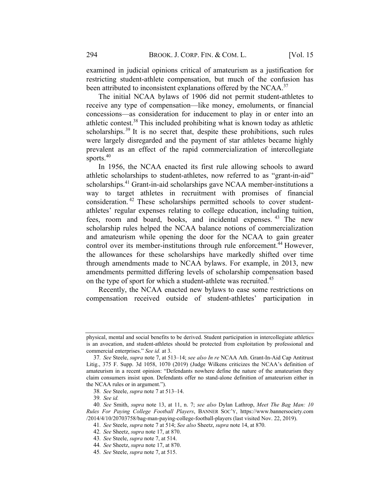examined in judicial opinions critical of amateurism as a justification for restricting student-athlete compensation, but much of the confusion has been attributed to inconsistent explanations offered by the NCAA.<sup>37</sup>

The initial NCAA bylaws of 1906 did not permit student-athletes to receive any type of compensation—like money, emoluments, or financial concessions—as consideration for inducement to play in or enter into an athletic contest.38 This included prohibiting what is known today as athletic scholarships.<sup>39</sup> It is no secret that, despite these prohibitions, such rules were largely disregarded and the payment of star athletes became highly prevalent as an effect of the rapid commercialization of intercollegiate sports. 40

In 1956, the NCAA enacted its first rule allowing schools to award athletic scholarships to student-athletes, now referred to as "grant-in-aid" scholarships.<sup>41</sup> Grant-in-aid scholarships gave NCAA member-institutions a way to target athletes in recruitment with promises of financial consideration. <sup>42</sup> These scholarships permitted schools to cover studentathletes' regular expenses relating to college education, including tuition, fees, room and board, books, and incidental expenses. <sup>43</sup> The new scholarship rules helped the NCAA balance notions of commercialization and amateurism while opening the door for the NCAA to gain greater control over its member-institutions through rule enforcement.<sup>44</sup> However, the allowances for these scholarships have markedly shifted over time through amendments made to NCAA bylaws. For example, in 2013, new amendments permitted differing levels of scholarship compensation based on the type of sport for which a student-athlete was recruited.<sup>45</sup>

Recently, the NCAA enacted new bylaws to ease some restrictions on compensation received outside of student-athletes' participation in

physical, mental and social benefits to be derived. Student participation in intercollegiate athletics is an avocation, and student-athletes should be protected from exploitation by professional and commercial enterprises." See id. at 3.

<sup>37</sup>. See Steele, supra note 7, at 513–14; see also In re NCAA Ath. Grant-In-Aid Cap Antitrust Litig., 375 F. Supp. 3d 1058, 1070 (2019) (Judge Wilkens criticizes the NCAA's definition of amateurism in a recent opinion: "Defendants nowhere define the nature of the amateurism they claim consumers insist upon. Defendants offer no stand-alone definition of amateurism either in the NCAA rules or in argument.").

<sup>38</sup>. See Steele, supra note 7 at 513–14.

<sup>39</sup>. See id.

<sup>40</sup>. See Smith, supra note 13, at 11, n. 7; see also Dylan Lathrop, Meet The Bag Man: 10 Rules For Paying College Football Players, BANNER SOC'Y, https://www.bannersociety.com /2014/4/10/20703758/bag-man-paying-college-football-players (last visited Nov. 22, 2019).

<sup>41</sup>. See Steele, supra note 7 at 514; See also Sheetz, supra note 14, at 870.

<sup>42</sup>. See Sheetz, supra note 17, at 870.

<sup>43</sup>. See Steele, supra note 7, at 514.

<sup>44</sup>. See Sheetz, supra note 17, at 870.

<sup>45</sup>. See Steele, supra note 7, at 515.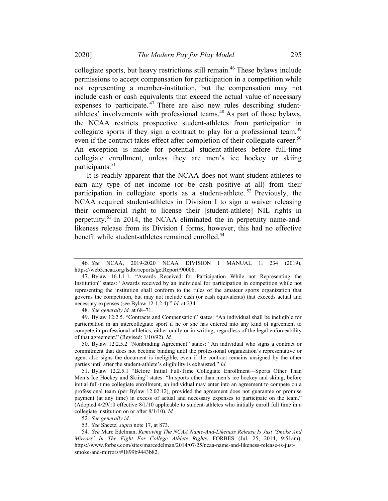collegiate sports, but heavy restrictions still remain.<sup>46</sup> These bylaws include permissions to accept compensation for participation in a competition while not representing a member-institution, but the compensation may not include cash or cash equivalents that exceed the actual value of necessary expenses to participate.<sup>47</sup> There are also new rules describing studentathletes' involvements with professional teams.<sup>48</sup> As part of those bylaws, the NCAA restricts prospective student-athletes from participation in collegiate sports if they sign a contract to play for a professional team,<sup>49</sup> even if the contract takes effect after completion of their collegiate career.<sup>50</sup> An exception is made for potential student-athletes before full-time collegiate enrollment, unless they are men's ice hockey or skiing participants.<sup>51</sup>

It is readily apparent that the NCAA does not want student-athletes to earn any type of net income (or be cash positive at all) from their participation in collegiate sports as a student-athlete.<sup>52</sup> Previously, the NCAA required student-athletes in Division I to sign a waiver releasing their commercial right to license their [student-athlete] NIL rights in perpetuity.<sup>53</sup> In 2014, the NCAA eliminated the in perpetuity name-andlikeness release from its Division I forms, however, this had no effective benefit while student-athletes remained enrolled.<sup>54</sup>

48. See generally id. at 68–71.

49. Bylaw 12.2.5. "Contracts and Compensation" states: "An individual shall be ineligible for participation in an intercollegiate sport if he or she has entered into any kind of agreement to compete in professional athletics, either orally or in writing, regardless of the legal enforceability of that agreement." (Revised: 1/10/92). Id.

50. Bylaw 12.2.5.2 "Nonbinding Agreement" states: "An individual who signs a contract or commitment that does not become binding until the professional organization's representative or agent also signs the document is ineligible, even if the contract remains unsigned by the other parties until after the student-athlete's eligibility is exhausted." Id.

51. Bylaw 12.2.5.1 "Before Initial Full-Time Collegiate Enrollment—Sports Other Than Men's Ice Hockey and Skiing" states: "In sports other than men's ice hockey and skiing, before initial full-time collegiate enrollment, an individual may enter into an agreement to compete on a professional team (per Bylaw 12.02.12), provided the agreement does not guarantee or promise payment (at any time) in excess of actual and necessary expenses to participate on the team." (Adopted:4/29/10 effective 8/1/10 applicable to student-athletes who initially enroll full time in a collegiate institution on or after 8/1/10). Id.

52. See generally id.

53. See Sheetz, supra note 17, at 873.

54. See Marc Edelman, Removing The NCAA Name-And-Likeness Release Is Just 'Smoke And Mirrors' In The Fight For College Athlete Rights, FORBES (Jul. 25, 2014, 9:51am), https://www.forbes.com/sites/marcedelman/2014/07/25/ncaa-name-and-likeness-release-is-justsmoke-and-mirrors/#1899b9443b82.

<sup>46</sup>. See NCAA, 2019-2020 NCAA DIVISION I MANUAL 1, 234 (2019), https://web3.ncaa.org/lsdbi/reports/getReport/90008.

<sup>47.</sup> Bylaw 16.1.1.1. "Awards Received for Participation While not Representing the Institution" states: "Awards received by an individual for participation in competition while not representing the institution shall conform to the rules of the amateur sports organization that governs the competition, but may not include cash (or cash equivalents) that exceeds actual and necessary expenses (see Bylaw 12.1.2.4)." Id. at 234.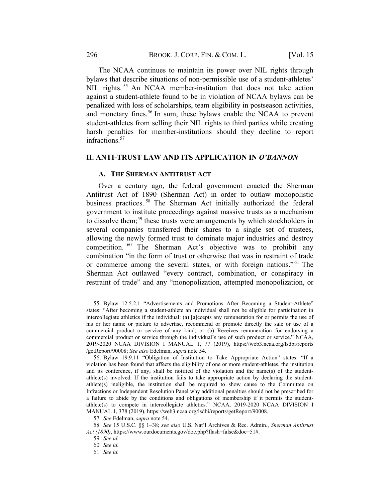The NCAA continues to maintain its power over NIL rights through bylaws that describe situations of non-permissible use of a student-athletes' NIL rights.<sup>55</sup> An NCAA member-institution that does not take action against a student-athlete found to be in violation of NCAA bylaws can be penalized with loss of scholarships, team eligibility in postseason activities, and monetary fines.<sup>56</sup> In sum, these bylaws enable the NCAA to prevent student-athletes from selling their NIL rights to third parties while creating harsh penalties for member-institutions should they decline to report infractions.<sup>57</sup>

#### II. ANTI-TRUST LAW AND ITS APPLICATION IN O'BANNON

# A. THE SHERMAN ANTITRUST ACT

Over a century ago, the federal government enacted the Sherman Antitrust Act of 1890 (Sherman Act) in order to outlaw monopolistic business practices. <sup>58</sup> The Sherman Act initially authorized the federal government to institute proceedings against massive trusts as a mechanism to dissolve them;<sup>59</sup> these trusts were arrangements by which stockholders in several companies transferred their shares to a single set of trustees, allowing the newly formed trust to dominate major industries and destroy competition. <sup>60</sup> The Sherman Act's objective was to prohibit any combination "in the form of trust or otherwise that was in restraint of trade or commerce among the several states, or with foreign nations."<sup>61</sup> The Sherman Act outlawed "every contract, combination, or conspiracy in restraint of trade" and any "monopolization, attempted monopolization, or

<sup>55.</sup> Bylaw 12.5.2.1 "Advertisements and Promotions After Becoming a Student-Athlete" states: "After becoming a student-athlete an individual shall not be eligible for participation in intercollegiate athletics if the individual: (a) [a]ccepts any remuneration for or permits the use of his or her name or picture to advertise, recommend or promote directly the sale or use of a commercial product or service of any kind; or (b) Receives remuneration for endorsing a commercial product or service through the individual's use of such product or service." NCAA, 2019-2020 NCAA DIVISION I MANUAL 1, 77 (2019), https://web3.ncaa.org/lsdbi/reports /getReport/90008; See also Edelman, supra note 54.

<sup>56.</sup> Bylaw 19.9.11 "Obligation of Institution to Take Appropriate Action" states: "If a violation has been found that affects the eligibility of one or more student-athletes, the institution and its conference, if any, shall be notified of the violation and the name(s) of the studentathlete(s) involved. If the institution fails to take appropriate action by declaring the studentathlete(s) ineligible, the institution shall be required to show cause to the Committee on Infractions or Independent Resolution Panel why additional penalties should not be prescribed for a failure to abide by the conditions and obligations of membership if it permits the studentathlete(s) to compete in intercollegiate athletics." NCAA, 2019-2020 NCAA DIVISION I MANUAL 1, 378 (2019), https://web3.ncaa.org/lsdbi/reports/getReport/90008.

<sup>57</sup>. See Edelman, supra note 54.

<sup>58</sup>. See 15 U.S.C. §§ 1–38; see also U.S. Nat'l Archives & Rec. Admin., Sherman Antitrust Act (1890), https://www.ourdocuments.gov/doc.php?flash=false&doc=51#.

<sup>59</sup>. See id.

<sup>60</sup>. See id.

<sup>61</sup>. See id.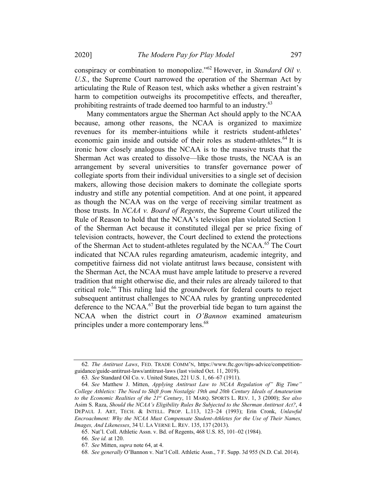conspiracy or combination to monopolize."<sup>62</sup> However, in Standard Oil v. U.S., the Supreme Court narrowed the operation of the Sherman Act by articulating the Rule of Reason test, which asks whether a given restraint's harm to competition outweighs its procompetitive effects, and thereafter, prohibiting restraints of trade deemed too harmful to an industry.<sup>63</sup>

Many commentators argue the Sherman Act should apply to the NCAA because, among other reasons, the NCAA is organized to maximize revenues for its member-intuitions while it restricts student-athletes' economic gain inside and outside of their roles as student-athletes.<sup>64</sup> It is ironic how closely analogous the NCAA is to the massive trusts that the Sherman Act was created to dissolve—like those trusts, the NCAA is an arrangement by several universities to transfer governance power of collegiate sports from their individual universities to a single set of decision makers, allowing those decision makers to dominate the collegiate sports industry and stifle any potential competition. And at one point, it appeared as though the NCAA was on the verge of receiving similar treatment as those trusts. In NCAA v. Board of Regents, the Supreme Court utilized the Rule of Reason to hold that the NCAA's television plan violated Section 1 of the Sherman Act because it constituted illegal per se price fixing of television contracts, however, the Court declined to extend the protections of the Sherman Act to student-athletes regulated by the NCAA.<sup>65</sup> The Court indicated that NCAA rules regarding amateurism, academic integrity, and competitive fairness did not violate antitrust laws because, consistent with the Sherman Act, the NCAA must have ample latitude to preserve a revered tradition that might otherwise die, and their rules are already tailored to that critical role.<sup>66</sup> This ruling laid the groundwork for federal courts to reject subsequent antitrust challenges to NCAA rules by granting unprecedented deference to the NCAA. $^{67}$  But the proverbial tide began to turn against the NCAA when the district court in O'Bannon examined amateurism principles under a more contemporary lens.<sup>68</sup>

<sup>62</sup>. The Antitrust Laws, FED. TRADE COMM'N, https://www.ftc.gov/tips-advice/competitionguidance/guide-antitrust-laws/antitrust-laws (last visited Oct. 11, 2019).

<sup>63</sup>. See Standard Oil Co. v. United States, 221 U.S. 1, 66–67 (1911).

<sup>64</sup>. See Matthew J. Mitten, Applying Antitrust Law to NCAA Regulation of" Big Time" College Athletics: The Need to Shift from Nostalgic 19th and 20th Century Ideals of Amateurism to the Economic Realities of the  $21^{st}$  Century, 11 MARQ. SPORTS L. REV. 1, 3 (2000); See also Asim S. Raza, Should the NCAA's Eligibility Rules Be Subjected to the Sherman Antitrust Act?, 4 DEPAUL J. ART, TECH. & INTELL. PROP. L.113, 123–24 (1993); Erin Cronk, Unlawful Encroachment: Why the NCAA Must Compensate Student-Athletes for the Use of Their Names, Images, And Likenesses, 34 U. LA VERNE L. REV. 135, 137 (2013).

<sup>65.</sup> Nat'l. Coll. Athletic Assn. v. Bd. of Regents, 468 U.S. 85, 101–02 (1984).

<sup>66</sup>. See id. at 120.

<sup>67</sup>. See Mitten, supra note 64, at 4.

<sup>68</sup>. See generally O'Bannon v. Nat'l Coll. Athletic Assn., 7 F. Supp. 3d 955 (N.D. Cal. 2014).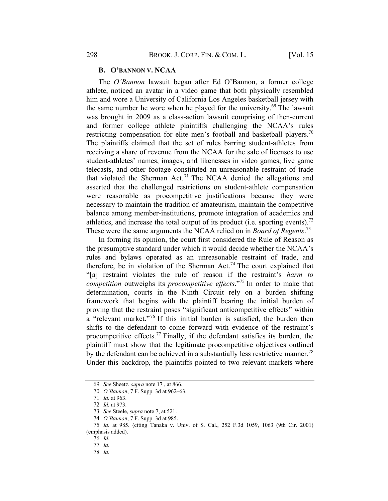#### B. O'BANNON V. NCAA

The O'Bannon lawsuit began after Ed O'Bannon, a former college athlete, noticed an avatar in a video game that both physically resembled him and wore a University of California Los Angeles basketball jersey with the same number he wore when he played for the university.<sup>69</sup> The lawsuit was brought in 2009 as a class-action lawsuit comprising of then-current and former college athlete plaintiffs challenging the NCAA's rules restricting compensation for elite men's football and basketball players.<sup>70</sup> The plaintiffs claimed that the set of rules barring student-athletes from receiving a share of revenue from the NCAA for the sale of licenses to use student-athletes' names, images, and likenesses in video games, live game telecasts, and other footage constituted an unreasonable restraint of trade that violated the Sherman Act.<sup>71</sup> The NCAA denied the allegations and asserted that the challenged restrictions on student-athlete compensation were reasonable as procompetitive justifications because they were necessary to maintain the tradition of amateurism, maintain the competitive balance among member-institutions, promote integration of academics and athletics, and increase the total output of its product (i.e. sporting events).<sup>72</sup> These were the same arguments the NCAA relied on in *Board of Regents*.<sup>73</sup>

In forming its opinion, the court first considered the Rule of Reason as the presumptive standard under which it would decide whether the NCAA's rules and bylaws operated as an unreasonable restraint of trade, and therefore, be in violation of the Sherman Act.<sup>74</sup> The court explained that "[a] restraint violates the rule of reason if the restraint's harm to *competition* outweighs its *procompetitive effects*."<sup>75</sup> In order to make that determination, courts in the Ninth Circuit rely on a burden shifting framework that begins with the plaintiff bearing the initial burden of proving that the restraint poses "significant anticompetitive effects" within a "relevant market."<sup>76</sup> If this initial burden is satisfied, the burden then shifts to the defendant to come forward with evidence of the restraint's procompetitive effects.<sup>77</sup> Finally, if the defendant satisfies its burden, the plaintiff must show that the legitimate procompetitive objectives outlined by the defendant can be achieved in a substantially less restrictive manner.<sup>78</sup> Under this backdrop, the plaintiffs pointed to two relevant markets where

<sup>69</sup>. See Sheetz, supra note 17 , at 866.

<sup>70</sup>. O'Bannon, 7 F. Supp. 3d at 962–63.

<sup>71</sup>. Id. at 963.

<sup>72</sup>. Id. at 973.

<sup>73</sup>. See Steele, supra note 7, at 521.

<sup>74</sup>. O'Bannon, 7 F. Supp. 3d at 985.

<sup>75</sup>. Id. at 985. (citing Tanaka v. Univ. of S. Cal., 252 F.3d 1059, 1063 (9th Cir. 2001) (emphasis added).

<sup>76</sup>. Id.

<sup>77</sup>. Id.

<sup>78</sup>. Id.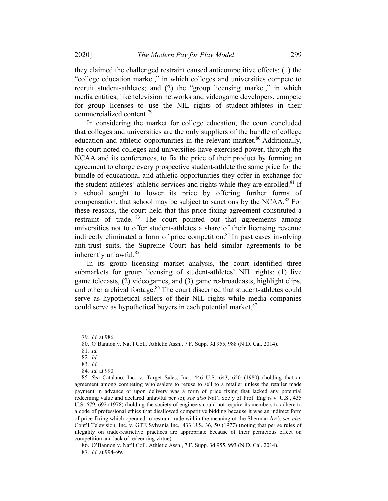they claimed the challenged restraint caused anticompetitive effects: (1) the "college education market," in which colleges and universities compete to recruit student-athletes; and (2) the "group licensing market," in which media entities, like television networks and videogame developers, compete for group licenses to use the NIL rights of student-athletes in their commercialized content.79

In considering the market for college education, the court concluded that colleges and universities are the only suppliers of the bundle of college education and athletic opportunities in the relevant market.<sup>80</sup> Additionally, the court noted colleges and universities have exercised power, through the NCAA and its conferences, to fix the price of their product by forming an agreement to charge every prospective student-athlete the same price for the bundle of educational and athletic opportunities they offer in exchange for the student-athletes' athletic services and rights while they are enrolled.<sup>81</sup> If a school sought to lower its price by offering further forms of compensation, that school may be subject to sanctions by the NCAA.<sup>82</sup> For these reasons, the court held that this price-fixing agreement constituted a restraint of trade. <sup>83</sup> The court pointed out that agreements among universities not to offer student-athletes a share of their licensing revenue indirectly eliminated a form of price competition.<sup>84</sup> In past cases involving anti-trust suits, the Supreme Court has held similar agreements to be inherently unlawful.<sup>85</sup>

In its group licensing market analysis, the court identified three submarkets for group licensing of student-athletes' NIL rights: (1) live game telecasts, (2) videogames, and (3) game re-broadcasts, highlight clips, and other archival footage.<sup>86</sup> The court discerned that student-athletes could serve as hypothetical sellers of their NIL rights while media companies could serve as hypothetical buyers in each potential market.<sup>87</sup>

86. O'Bannon v. Nat'l Coll. Athletic Assn., 7 F. Supp. 3d 955, 993 (N.D. Cal. 2014). 87. Id. at 994–99.

<sup>79</sup>. Id. at 986.

<sup>80.</sup> O'Bannon v. Nat'l Coll. Athletic Assn., 7 F. Supp. 3d 955, 988 (N.D. Cal. 2014).

<sup>81</sup>. Id.

<sup>82</sup>. Id.

<sup>83</sup>. Id.

<sup>84</sup>. Id. at 990.

<sup>85</sup>. See Catalano, Inc. v. Target Sales, Inc., 446 U.S. 643, 650 (1980) (holding that an agreement among competing wholesalers to refuse to sell to a retailer unless the retailer made payment in advance or upon delivery was a form of price fixing that lacked any potential redeeming value and declared unlawful per se); see also Nat'l Soc'y of Prof. Eng'rs v. U.S., 435 U.S. 679, 692 (1978) (holding the society of engineers could not require its members to adhere to a code of professional ethics that disallowed competitive bidding because it was an indirect form of price-fixing which operated to restrain trade within the meaning of the Sherman Act); see also Cont'l Television, Inc. v. GTE Sylvania Inc., 433 U.S. 36, 50 (1977) (noting that per se rules of illegality on trade-restrictive practices are appropriate because of their pernicious effect on competition and lack of redeeming virtue).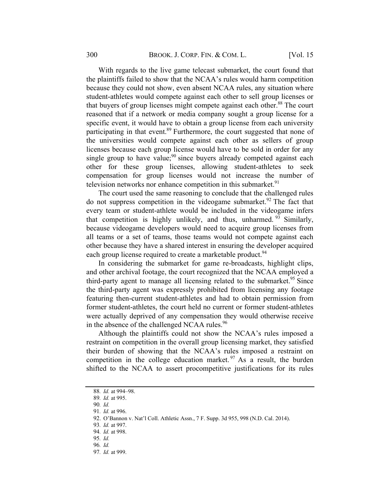With regards to the live game telecast submarket, the court found that the plaintiffs failed to show that the NCAA's rules would harm competition because they could not show, even absent NCAA rules, any situation where student-athletes would compete against each other to sell group licenses or that buyers of group licenses might compete against each other.<sup>88</sup> The court reasoned that if a network or media company sought a group license for a specific event, it would have to obtain a group license from each university participating in that event.<sup>89</sup> Furthermore, the court suggested that none of the universities would compete against each other as sellers of group licenses because each group license would have to be sold in order for any single group to have value;<sup>90</sup> since buyers already competed against each other for these group licenses, allowing student-athletes to seek compensation for group licenses would not increase the number of television networks nor enhance competition in this submarket. $91$ 

The court used the same reasoning to conclude that the challenged rules do not suppress competition in the videogame submarket.<sup>92</sup> The fact that every team or student-athlete would be included in the videogame infers that competition is highly unlikely, and thus, unharmed.  $93$  Similarly, because videogame developers would need to acquire group licenses from all teams or a set of teams, those teams would not compete against each other because they have a shared interest in ensuring the developer acquired each group license required to create a marketable product.<sup>94</sup>

In considering the submarket for game re-broadcasts, highlight clips, and other archival footage, the court recognized that the NCAA employed a third-party agent to manage all licensing related to the submarket.<sup>95</sup> Since the third-party agent was expressly prohibited from licensing any footage featuring then-current student-athletes and had to obtain permission from former student-athletes, the court held no current or former student-athletes were actually deprived of any compensation they would otherwise receive in the absence of the challenged NCAA rules.<sup>96</sup>

Although the plaintiffs could not show the NCAA's rules imposed a restraint on competition in the overall group licensing market, they satisfied their burden of showing that the NCAA's rules imposed a restraint on competition in the college education market.  $97$  As a result, the burden shifted to the NCAA to assert procompetitive justifications for its rules

<sup>88</sup>. Id. at 994–98.

<sup>89</sup>. Id. at 995.

<sup>90</sup>. Id.

<sup>91</sup>. Id. at 996.

<sup>92.</sup> O'Bannon v. Nat'l Coll. Athletic Assn., 7 F. Supp. 3d 955, 998 (N.D. Cal. 2014).

<sup>93</sup>. Id. at 997.

<sup>94</sup>. Id. at 998.

<sup>95</sup>. Id.

<sup>96</sup>. Id.

<sup>97</sup>. Id. at 999.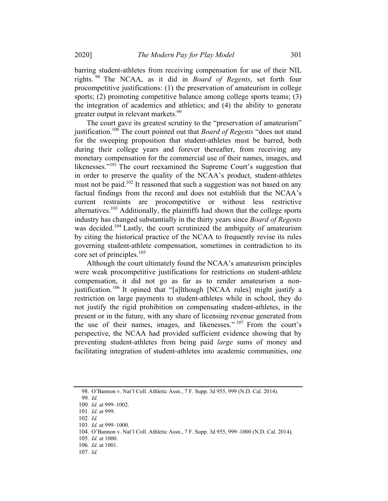barring student-athletes from receiving compensation for use of their NIL rights. <sup>98</sup> The NCAA, as it did in Board of Regents, set forth four procompetitive justifications: (1) the preservation of amateurism in college sports; (2) promoting competitive balance among college sports teams; (3) the integration of academics and athletics; and (4) the ability to generate greater output in relevant markets.<sup>99</sup>

The court gave its greatest scrutiny to the "preservation of amateurism" justification.<sup>100</sup> The court pointed out that *Board of Regents* "does not stand for the sweeping proposition that student-athletes must be barred, both during their college years and forever thereafter, from receiving any monetary compensation for the commercial use of their names, images, and likenesses."<sup>101</sup> The court reexamined the Supreme Court's suggestion that in order to preserve the quality of the NCAA's product, student-athletes must not be paid.<sup>102</sup> It reasoned that such a suggestion was not based on any factual findings from the record and does not establish that the NCAA's current restraints are procompetitive or without less restrictive alternatives.<sup>103</sup> Additionally, the plaintiffs had shown that the college sports industry has changed substantially in the thirty years since Board of Regents was decided.<sup>104</sup> Lastly, the court scrutinized the ambiguity of amateurism by citing the historical practice of the NCAA to frequently revise its rules governing student-athlete compensation, sometimes in contradiction to its core set of principles. 105

Although the court ultimately found the NCAA's amateurism principles were weak procompetitive justifications for restrictions on student-athlete compensation, it did not go as far as to render amateurism a nonjustification.<sup>106</sup> It opined that "[a]lthough [NCAA rules] might justify a restriction on large payments to student-athletes while in school, they do not justify the rigid prohibition on compensating student-athletes, in the present or in the future, with any share of licensing revenue generated from the use of their names, images, and likenesses."<sup>107</sup> From the court's perspective, the NCAA had provided sufficient evidence showing that by preventing student-athletes from being paid large sums of money and facilitating integration of student-athletes into academic communities, one

<sup>98.</sup> O'Bannon v. Nat'l Coll. Athletic Assn., 7 F. Supp. 3d 955, 999 (N.D. Cal. 2014).

<sup>99</sup>. Id.

<sup>100</sup>. Id. at 999–1002.

<sup>101</sup>. Id. at 999.

<sup>102</sup>. Id.

<sup>103</sup>. Id. at 999–1000.

<sup>104.</sup> O'Bannon v. Nat'l Coll. Athletic Assn., 7 F. Supp. 3d 955, 999–1000 (N.D. Cal. 2014).

<sup>105</sup>. Id. at 1000.

<sup>106</sup>. Id. at 1001.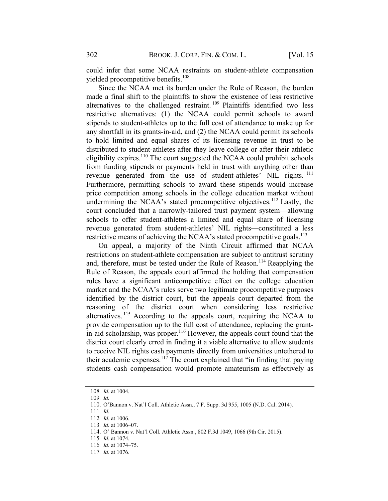could infer that some NCAA restraints on student-athlete compensation yielded procompetitive benefits. 108

Since the NCAA met its burden under the Rule of Reason, the burden made a final shift to the plaintiffs to show the existence of less restrictive alternatives to the challenged restraint. <sup>109</sup> Plaintiffs identified two less restrictive alternatives: (1) the NCAA could permit schools to award stipends to student-athletes up to the full cost of attendance to make up for any shortfall in its grants-in-aid, and (2) the NCAA could permit its schools to hold limited and equal shares of its licensing revenue in trust to be distributed to student-athletes after they leave college or after their athletic eligibility expires.<sup>110</sup> The court suggested the NCAA could prohibit schools from funding stipends or payments held in trust with anything other than revenue generated from the use of student-athletes' NIL rights. <sup>111</sup> Furthermore, permitting schools to award these stipends would increase price competition among schools in the college education market without undermining the NCAA's stated procompetitive objectives.<sup>112</sup> Lastly, the court concluded that a narrowly-tailored trust payment system—allowing schools to offer student-athletes a limited and equal share of licensing revenue generated from student-athletes' NIL rights—constituted a less restrictive means of achieving the NCAA's stated procompetitive goals.<sup>113</sup>

On appeal, a majority of the Ninth Circuit affirmed that NCAA restrictions on student-athlete compensation are subject to antitrust scrutiny and, therefore, must be tested under the Rule of Reason.<sup>114</sup> Reapplying the Rule of Reason, the appeals court affirmed the holding that compensation rules have a significant anticompetitive effect on the college education market and the NCAA's rules serve two legitimate procompetitive purposes identified by the district court, but the appeals court departed from the reasoning of the district court when considering less restrictive alternatives.<sup>115</sup> According to the appeals court, requiring the NCAA to provide compensation up to the full cost of attendance, replacing the grantin-aid scholarship, was proper. $116$  However, the appeals court found that the district court clearly erred in finding it a viable alternative to allow students to receive NIL rights cash payments directly from universities untethered to their academic expenses.<sup>117</sup> The court explained that "in finding that paying students cash compensation would promote amateurism as effectively as

<sup>108</sup>. Id. at 1004.

<sup>109</sup>. Id.

<sup>110.</sup> O'Bannon v. Nat'l Coll. Athletic Assn., 7 F. Supp. 3d 955, 1005 (N.D. Cal. 2014).

<sup>111</sup>. Id.

<sup>112</sup>. Id. at 1006.

<sup>113</sup>. Id. at 1006–07.

<sup>114.</sup> O' Bannon v. Nat'l Coll. Athletic Assn., 802 F.3d 1049, 1066 (9th Cir. 2015).

<sup>115</sup>. Id. at 1074.

<sup>116</sup>. Id. at 1074–75.

<sup>117</sup>. Id. at 1076.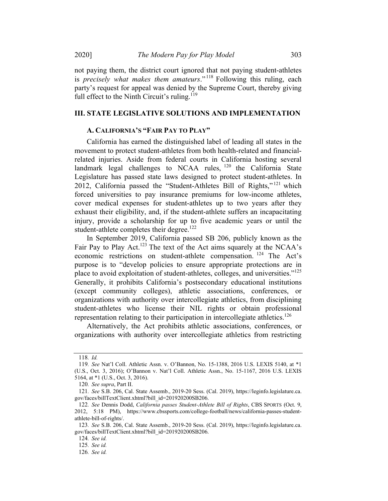not paying them, the district court ignored that not paying student-athletes is precisely what makes them amateurs."<sup>118</sup> Following this ruling, each party's request for appeal was denied by the Supreme Court, thereby giving full effect to the Ninth Circuit's ruling.<sup>119</sup>

# III. STATE LEGISLATIVE SOLUTIONS AND IMPLEMENTATION

# A. CALIFORNIA'S "FAIR PAY TO PLAY"

California has earned the distinguished label of leading all states in the movement to protect student-athletes from both health-related and financialrelated injuries. Aside from federal courts in California hosting several landmark legal challenges to NCAA rules,  $120$  the California State Legislature has passed state laws designed to protect student-athletes. In 2012, California passed the "Student-Athletes Bill of Rights," <sup>121</sup> which forced universities to pay insurance premiums for low-income athletes, cover medical expenses for student-athletes up to two years after they exhaust their eligibility, and, if the student-athlete suffers an incapacitating injury, provide a scholarship for up to five academic years or until the student-athlete completes their degree.<sup>122</sup>

In September 2019, California passed SB 206, publicly known as the Fair Pay to Play Act.<sup>123</sup> The text of the Act aims squarely at the NCAA's economic restrictions on student-athlete compensation. <sup>124</sup> The Act's purpose is to "develop policies to ensure appropriate protections are in place to avoid exploitation of student-athletes, colleges, and universities."125 Generally, it prohibits California's postsecondary educational institutions (except community colleges), athletic associations, conferences, or organizations with authority over intercollegiate athletics, from disciplining student-athletes who license their NIL rights or obtain professional representation relating to their participation in intercollegiate athletics.<sup>126</sup>

Alternatively, the Act prohibits athletic associations, conferences, or organizations with authority over intercollegiate athletics from restricting

<sup>118</sup>. Id.

<sup>119</sup>. See Nat'l Coll. Athletic Assn. v. O'Bannon, No. 15-1388, 2016 U.S. LEXIS 5140, at \*1 (U.S., Oct. 3, 2016); O'Bannon v. Nat'l Coll. Athletic Assn., No. 15-1167, 2016 U.S. LEXIS 5164, at \*1 (U.S., Oct. 3, 2016).

<sup>120</sup>. See supra, Part II.

<sup>121</sup>. See S.B. 206, Cal. State Assemb., 2019-20 Sess. (Cal. 2019), https://leginfo.legislature.ca. gov/faces/billTextClient.xhtml?bill\_id=201920200SB206.

<sup>122</sup>. See Dennis Dodd, California passes Student-Athlete Bill of Rights, CBS SPORTS (Oct. 9, 2012, 5:18 PM), https://www.cbssports.com/college-football/news/california-passes-studentathlete-bill-of-rights/.

<sup>123</sup>. See S.B. 206, Cal. State Assemb., 2019-20 Sess. (Cal. 2019), https://leginfo.legislature.ca. gov/faces/billTextClient.xhtml?bill\_id=201920200SB206.

<sup>124</sup>. See id.

<sup>125</sup>. See id.

<sup>126</sup>. See id.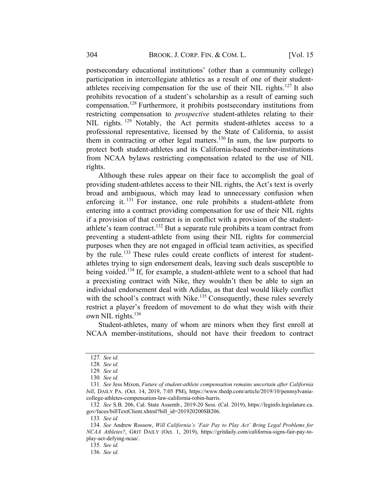postsecondary educational institutions' (other than a community college) participation in intercollegiate athletics as a result of one of their studentathletes receiving compensation for the use of their NIL rights.<sup>127</sup> It also prohibits revocation of a student's scholarship as a result of earning such compensation.<sup>128</sup> Furthermore, it prohibits postsecondary institutions from restricting compensation to *prospective* student-athletes relating to their NIL rights. <sup>129</sup> Notably, the Act permits student-athletes access to a professional representative, licensed by the State of California, to assist them in contracting or other legal matters.<sup>130</sup> In sum, the law purports to protect both student-athletes and its California-based member-institutions from NCAA bylaws restricting compensation related to the use of NIL rights.

Although these rules appear on their face to accomplish the goal of providing student-athletes access to their NIL rights, the Act's text is overly broad and ambiguous, which may lead to unnecessary confusion when enforcing it.  $131$  For instance, one rule prohibits a student-athlete from entering into a contract providing compensation for use of their NIL rights if a provision of that contract is in conflict with a provision of the studentathlete's team contract.<sup>132</sup> But a separate rule prohibits a team contract from preventing a student-athlete from using their NIL rights for commercial purposes when they are not engaged in official team activities, as specified by the rule.<sup>133</sup> These rules could create conflicts of interest for studentathletes trying to sign endorsement deals, leaving such deals susceptible to being voided.<sup>134</sup> If, for example, a student-athlete went to a school that had a preexisting contract with Nike, they wouldn't then be able to sign an individual endorsement deal with Adidas, as that deal would likely conflict with the school's contract with Nike.<sup>135</sup> Consequently, these rules severely restrict a player's freedom of movement to do what they wish with their own NIL rights. $136$ 

Student-athletes, many of whom are minors when they first enroll at NCAA member-institutions, should not have their freedom to contract

133. See id.

<sup>127</sup>. See id.

<sup>128</sup>. See id.

<sup>129</sup>. See id.

<sup>130</sup>. See id.

<sup>131</sup>. See Jess Mixon, Future of student-athlete compensation remains uncertain after California bill, DAILY PA. (Oct. 14, 2019, 7:05 PM), https://www.thedp.com/article/2019/10/pennsylvaniacollege-athletes-compensation-law-california-robin-harris.

<sup>132</sup>. See S.B. 206, Cal. State Assemb., 2019-20 Sess. (Cal. 2019), https://leginfo.legislature.ca. gov/faces/billTextClient.xhtml?bill\_id=201920200SB206.

<sup>134</sup>. See Andrew Rossow, Will California's 'Fair Pay to Play Act' Bring Legal Problems for NCAA Athletes?, GRIT DAILY (Oct. 1, 2019), https://gritdaily.com/california-signs-fair-pay-toplay-act-defying-ncaa/.

<sup>135</sup>. See id.

<sup>136</sup>. See id.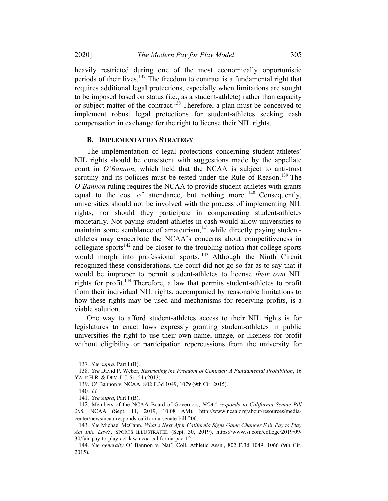2020] The Modern Pay for Play Model 305

heavily restricted during one of the most economically opportunistic periods of their lives.<sup>137</sup> The freedom to contract is a fundamental right that requires additional legal protections, especially when limitations are sought to be imposed based on status (i.e., as a student-athlete) rather than capacity or subject matter of the contract.<sup>138</sup> Therefore, a plan must be conceived to implement robust legal protections for student-athletes seeking cash

compensation in exchange for the right to license their NIL rights.

#### **B. IMPLEMENTATION STRATEGY**

The implementation of legal protections concerning student-athletes' NIL rights should be consistent with suggestions made by the appellate court in O'Bannon, which held that the NCAA is subject to anti-trust scrutiny and its policies must be tested under the Rule of Reason.<sup>139</sup> The O'Bannon ruling requires the NCAA to provide student-athletes with grants equal to the cost of attendance, but nothing more.  $140$  Consequently, universities should not be involved with the process of implementing NIL rights, nor should they participate in compensating student-athletes monetarily. Not paying student-athletes in cash would allow universities to maintain some semblance of amateurism,<sup>141</sup> while directly paying studentathletes may exacerbate the NCAA's concerns about competitiveness in collegiate sports<sup>142</sup> and be closer to the troubling notion that college sports would morph into professional sports.<sup>143</sup> Although the Ninth Circuit recognized these considerations, the court did not go so far as to say that it would be improper to permit student-athletes to license their own NIL rights for profit.<sup>144</sup> Therefore, a law that permits student-athletes to profit from their individual NIL rights, accompanied by reasonable limitations to how these rights may be used and mechanisms for receiving profits, is a viable solution.

One way to afford student-athletes access to their NIL rights is for legislatures to enact laws expressly granting student-athletes in public universities the right to use their own name, image, or likeness for profit without eligibility or participation repercussions from the university for

<sup>137</sup>. See supra, Part I (B).

<sup>138</sup>. See David P. Weber, Restricting the Freedom of Contract: A Fundamental Prohibition, 16 YALE H.R. & DEV. L.J. 51, 54 (2013).

<sup>139.</sup> O' Bannon v. NCAA, 802 F.3d 1049, 1079 (9th Cir. 2015).

<sup>140</sup>. Id.

<sup>141</sup>. See supra, Part I (B).

<sup>142.</sup> Members of the NCAA Board of Governors, NCAA responds to California Senate Bill 206, NCAA (Sept. 11, 2019, 10:08 AM), http://www.ncaa.org/about/resources/mediacenter/news/ncaa-responds-california-senate-bill-206.

<sup>143</sup>. See Michael McCann, What's Next After California Signs Game Changer Fair Pay to Play Act Into Law?, SPORTS ILLUSTRATED (Sept. 30, 2019), https://www.si.com/college/2019/09/ 30/fair-pay-to-play-act-law-ncaa-california-pac-12.

<sup>144</sup>. See generally O' Bannon v. Nat'l Coll. Athletic Assn., 802 F.3d 1049, 1066 (9th Cir. 2015).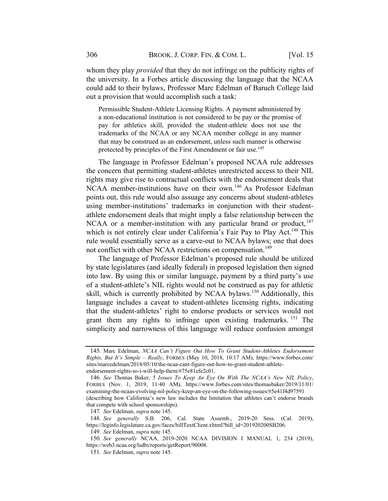whom they play *provided* that they do not infringe on the publicity rights of the university. In a Forbes article discussing the language that the NCAA could add to their bylaws, Professor Marc Edelman of Baruch College laid out a provision that would accomplish such a task:

Permissible Student-Athlete Licensing Rights. A payment administered by a non-educational institution is not considered to be pay or the promise of pay for athletics skill, provided the student-athlete does not use the trademarks of the NCAA or any NCAA member college in any manner that may be construed as an endorsement, unless such manner is otherwise protected by principles of the First Amendment or fair use.<sup>145</sup>

The language in Professor Edelman's proposed NCAA rule addresses the concern that permitting student-athletes unrestricted access to their NIL rights may give rise to contractual conflicts with the endorsement deals that NCAA member-institutions have on their own.<sup>146</sup> As Professor Edelman points out, this rule would also assuage any concerns about student-athletes using member-institutions' trademarks in conjunction with their studentathlete endorsement deals that might imply a false relationship between the NCAA or a member-institution with any particular brand or product,  $147$ which is not entirely clear under California's Fair Pay to Play Act.<sup>148</sup> This rule would essentially serve as a carve-out to NCAA bylaws; one that does not conflict with other NCAA restrictions on compensation.<sup>149</sup>

The language of Professor Edelman's proposed rule should be utilized by state legislatures (and ideally federal) in proposed legislation then signed into law. By using this or similar language, payment by a third party's use of a student-athlete's NIL rights would not be construed as pay for athletic skill, which is currently prohibited by NCAA bylaws.<sup>150</sup> Additionally, this language includes a caveat to student-athletes licensing rights, indicating that the student-athletes' right to endorse products or services would not grant them any rights to infringe upon existing trademarks.<sup>151</sup> The simplicity and narrowness of this language will reduce confusion amongst

<sup>145.</sup> Marc Edelman, NCAA Can't Figure Out How To Grant Student-Athletes Endorsement Rights, But It's Simple – Really, FORBES (May 10, 2018, 10:17 AM), https://www.forbes.com/ sites/marcedelman/2018/05/10/the-ncaa-cant-figure-out-how-to-grant-student-athleteendorsement-rights-so-i-will-help-them/#75e81efe2c01.

<sup>146</sup>. See Thomas Baker, 5 Issues To Keep An Eye On With The NCAA's New NIL Policy, FORBES (Nov. 1, 2019, 11:40 AM), https://www.forbes.com/sites/thomasbaker/2019/11/01/ examining-the-ncaas-evolving-nil-policy-keep-an-eye-on-the-following-issues/#5e41f4d97591 (describing how California's new law includes the limitation that athletes can't endorse brands that compete with school sponsorships).

<sup>147</sup>. See Edelman, supra note 145.

<sup>148</sup>. See generally S.B. 206, Cal. State Assemb., 2019-20 Sess. (Cal. 2019), https://leginfo.legislature.ca.gov/faces/billTextClient.xhtml?bill\_id=201920200SB206.

<sup>149</sup>. See Edelman, supra note 145.

<sup>150</sup>. See generally NCAA, 2019-2020 NCAA DIVISION I MANUAL 1, 234 (2019), https://web3.ncaa.org/lsdbi/reports/getReport/90008.

<sup>151</sup>. See Edelman, supra note 145.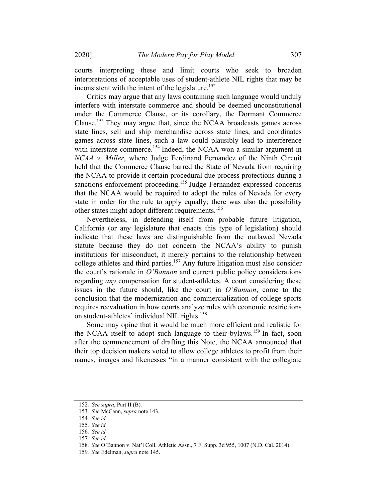courts interpreting these and limit courts who seek to broaden interpretations of acceptable uses of student-athlete NIL rights that may be inconsistent with the intent of the legislature.<sup>152</sup>

Critics may argue that any laws containing such language would unduly interfere with interstate commerce and should be deemed unconstitutional under the Commerce Clause, or its corollary, the Dormant Commerce Clause. <sup>153</sup> They may argue that, since the NCAA broadcasts games across state lines, sell and ship merchandise across state lines, and coordinates games across state lines, such a law could plausibly lead to interference with interstate commerce.<sup>154</sup> Indeed, the NCAA won a similar argument in NCAA v. Miller, where Judge Ferdinand Fernandez of the Ninth Circuit held that the Commerce Clause barred the State of Nevada from requiring the NCAA to provide it certain procedural due process protections during a sanctions enforcement proceeding.<sup>155</sup> Judge Fernandez expressed concerns that the NCAA would be required to adopt the rules of Nevada for every state in order for the rule to apply equally; there was also the possibility other states might adopt different requirements.<sup>156</sup>

Nevertheless, in defending itself from probable future litigation, California (or any legislature that enacts this type of legislation) should indicate that these laws are distinguishable from the outlawed Nevada statute because they do not concern the NCAA's ability to punish institutions for misconduct, it merely pertains to the relationship between college athletes and third parties.<sup>157</sup> Any future litigation must also consider the court's rationale in  $O'$ Bannon and current public policy considerations regarding *any* compensation for student-athletes. A court considering these issues in the future should, like the court in  $O'Bannon$ , come to the conclusion that the modernization and commercialization of college sports requires reevaluation in how courts analyze rules with economic restrictions on student-athletes' individual NIL rights.<sup>158</sup>

Some may opine that it would be much more efficient and realistic for the NCAA itself to adopt such language to their bylaws.<sup>159</sup> In fact, soon after the commencement of drafting this Note, the NCAA announced that their top decision makers voted to allow college athletes to profit from their names, images and likenesses "in a manner consistent with the collegiate

<sup>152</sup>. See supra, Part II (B).

<sup>153</sup>. See McCann, supra note 143.

<sup>154</sup>. See id.

<sup>155</sup>. See id.

<sup>156</sup>. See id.

<sup>157</sup>. See id.

<sup>158</sup>. See O'Bannon v. Nat'l Coll. Athletic Assn., 7 F. Supp. 3d 955, 1007 (N.D. Cal. 2014).

<sup>159</sup>. See Edelman, supra note 145.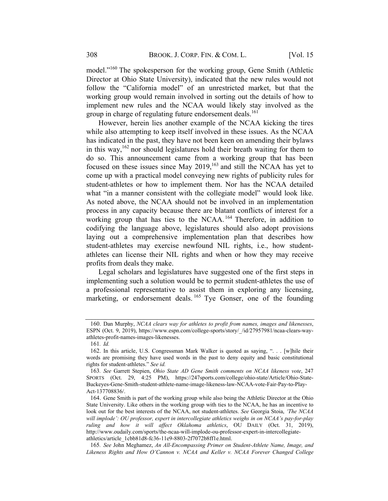model."160 The spokesperson for the working group, Gene Smith (Athletic Director at Ohio State University), indicated that the new rules would not follow the "California model" of an unrestricted market, but that the working group would remain involved in sorting out the details of how to implement new rules and the NCAA would likely stay involved as the group in charge of regulating future endorsement deals.<sup>161</sup>

However, herein lies another example of the NCAA kicking the tires while also attempting to keep itself involved in these issues. As the NCAA has indicated in the past, they have not been keen on amending their bylaws in this way,  $162$  nor should legislatures hold their breath waiting for them to do so. This announcement came from a working group that has been focused on these issues since May 2019,<sup>163</sup> and still the NCAA has yet to come up with a practical model conveying new rights of publicity rules for student-athletes or how to implement them. Nor has the NCAA detailed what "in a manner consistent with the collegiate model" would look like. As noted above, the NCAA should not be involved in an implementation process in any capacity because there are blatant conflicts of interest for a working group that has ties to the NCAA.<sup>164</sup> Therefore, in addition to codifying the language above, legislatures should also adopt provisions laying out a comprehensive implementation plan that describes how student-athletes may exercise newfound NIL rights, i.e., how studentathletes can license their NIL rights and when or how they may receive profits from deals they make.

Legal scholars and legislatures have suggested one of the first steps in implementing such a solution would be to permit student-athletes the use of a professional representative to assist them in exploring any licensing, marketing, or endorsement deals.  $^{165}$  Tye Gonser, one of the founding

<sup>160.</sup> Dan Murphy, NCAA clears way for athletes to profit from names, images and likenesses, ESPN (Oct. 9, 2019), https://www.espn.com/college-sports/story/\_/id/27957981/ncaa-clears-wayathletes-profit-names-images-likenesses.

<sup>161</sup>. Id.

<sup>162.</sup> In this article, U.S. Congressman Mark Walker is quoted as saying, ". . . [w]hile their words are promising they have used words in the past to deny equity and basic constitutional rights for student-athletes." See id.

<sup>163</sup>. See Garrett Stepien, Ohio State AD Gene Smith comments on NCAA likeness vote, 247 SPORTS (Oct. 29, 4:25 PM), https://247sports.com/college/ohio-state/Article/Ohio-State-Buckeyes-Gene-Smith-student-athlete-name-image-likeness-law-NCAA-vote-Fair-Pay-to-Play-Act-137708836/.

<sup>164.</sup> Gene Smith is part of the working group while also being the Athletic Director at the Ohio State University. Like others in the working group with ties to the NCAA, he has an incentive to look out for the best interests of the NCAA, not student-athletes. See Georgia Stoia, 'The NCAA will implode': OU professor, expert in intercollegiate athletics weighs in on NCAA's pay-for-play ruling and how it will affect Oklahoma athletics, OU DAILY (Oct. 31, 2019), http://www.oudaily.com/sports/the-ncaa-will-implode-ou-professor-expert-in-intercollegiateathletics/article\_1cbb81d8-fc36-11e9-8803-2f7072b8ff1e.html.

<sup>165</sup>. See John Meghamez, An All-Encompassing Primer on Student-Athlete Name, Image, and Likeness Rights and How O'Cannon v. NCAA and Keller v. NCAA Forever Changed College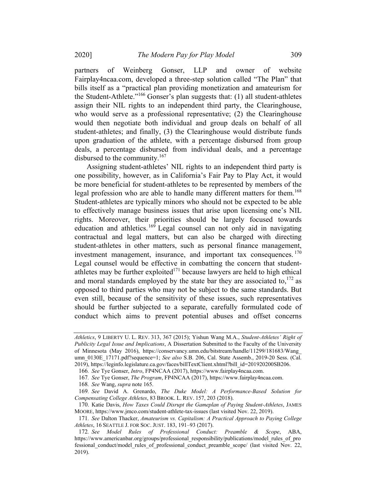partners of Weinberg Gonser, LLP and owner of website Fairplay4ncaa.com, developed a three-step solution called "The Plan" that bills itself as a "practical plan providing monetization and amateurism for the Student-Athlete."<sup>166</sup> Gonser's plan suggests that: (1) all student-athletes assign their NIL rights to an independent third party, the Clearinghouse, who would serve as a professional representative; (2) the Clearinghouse would then negotiate both individual and group deals on behalf of all student-athletes; and finally, (3) the Clearinghouse would distribute funds upon graduation of the athlete, with a percentage disbursed from group deals, a percentage disbursed from individual deals, and a percentage disbursed to the community.<sup>167</sup>

Assigning student-athletes' NIL rights to an independent third party is one possibility, however, as in California's Fair Pay to Play Act, it would be more beneficial for student-athletes to be represented by members of the legal profession who are able to handle many different matters for them. 168 Student-athletes are typically minors who should not be expected to be able to effectively manage business issues that arise upon licensing one's NIL rights. Moreover, their priorities should be largely focused towards education and athletics.<sup>169</sup> Legal counsel can not only aid in navigating contractual and legal matters, but can also be charged with directing student-athletes in other matters, such as personal finance management, investment management, insurance, and important tax consequences.<sup>170</sup> Legal counsel would be effective in combatting the concern that studentathletes may be further exploited<sup>171</sup> because lawyers are held to high ethical and moral standards employed by the state bar they are associated to,  $172$  as opposed to third parties who may not be subject to the same standards. But even still, because of the sensitivity of these issues, such representatives should be further subjected to a separate, carefully formulated code of conduct which aims to prevent potential abuses and offset concerns

Athletics, 9 LIBERTY U. L. REV. 313, 367 (2015); Yishun Wang M.A., Student-Athletes' Right of Publicity Legal Issue and Implications, A Dissertation Submitted to the Faculty of the University of Minnesota (May 2016), https://conservancy.umn.edu/bitstream/handle/11299/181683/Wang\_ umn\_0130E\_17171.pdf?sequence=1; See also S.B. 206, Cal. State Assemb., 2019-20 Sess. (Cal. 2019), https://leginfo.legislature.ca.gov/faces/billTextClient.xhtml?bill\_id=201920200SB206.

<sup>166</sup>. See Tye Gonser, Intro, FP4NCAA (2017), https://www.fairplay4ncaa.com.

<sup>167</sup>. See Tye Gonser, The Program, FP4NCAA (2017), https://www.fairplay4ncaa.com.

<sup>168</sup>. See Wang, supra note 165.

<sup>169</sup>. See David A. Grenardo, The Duke Model: A Performance-Based Solution for Compensating College Athletes, 83 BROOK. L. REV. 157, 203 (2018).

<sup>170.</sup> Katie Davis, How Taxes Could Disrupt the Gameplan of Paying Student-Athletes, JAMES MOORE, https://www.jmco.com/student-athlete-tax-issues (last visited Nov. 22, 2019).

<sup>171</sup>. See Dalton Thacker, Amateurism vs. Capitalism: A Practical Approach to Paying College Athletes, 16 SEATTLE J. FOR SOC. JUST. 183, 191–93 (2017).

<sup>172</sup>. See Model Rules of Professional Conduct: Preamble & Scope, ABA, https://www.americanbar.org/groups/professional\_responsibility/publications/model\_rules\_of\_pro fessional\_conduct/model\_rules\_of\_professional\_conduct\_preamble\_scope/ (last visited Nov. 22, 2019).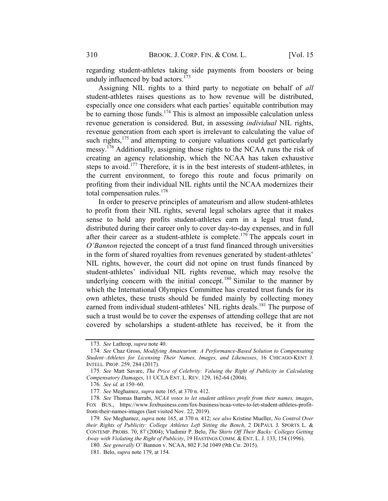regarding student-athletes taking side payments from boosters or being unduly influenced by bad actors. $173$ 

Assigning NIL rights to a third party to negotiate on behalf of all student-athletes raises questions as to how revenue will be distributed, especially once one considers what each parties' equitable contribution may be to earning those funds.<sup>174</sup> This is almost an impossible calculation unless revenue generation is considered. But, in assessing individual NIL rights, revenue generation from each sport is irrelevant to calculating the value of such rights, $175$  and attempting to conjure valuations could get particularly messy.<sup>176</sup> Additionally, assigning those rights to the NCAA runs the risk of creating an agency relationship, which the NCAA has taken exhaustive steps to avoid.<sup>177</sup> Therefore, it is in the best interests of student-athletes, in the current environment, to forego this route and focus primarily on profiting from their individual NIL rights until the NCAA modernizes their total compensation rules.<sup>178</sup>

In order to preserve principles of amateurism and allow student-athletes to profit from their NIL rights, several legal scholars agree that it makes sense to hold any profits student-athletes earn in a legal trust fund, distributed during their career only to cover day-to-day expenses, and in full after their career as a student-athlete is complete.<sup>179</sup> The appeals court in O'Bannon rejected the concept of a trust fund financed through universities in the form of shared royalties from revenues generated by student-athletes' NIL rights, however, the court did not opine on trust funds financed by student-athletes' individual NIL rights revenue, which may resolve the underlying concern with the initial concept.<sup>180</sup> Similar to the manner by which the International Olympics Committee has created trust funds for its own athletes, these trusts should be funded mainly by collecting money earned from individual student-athletes' NIL rights deals.<sup>181</sup> The purpose of such a trust would be to cover the expenses of attending college that are not covered by scholarships a student-athlete has received, be it from the

<sup>173</sup>. See Lathrop, supra note 40.

<sup>174</sup>. See Chaz Gross, Modifying Amateurism: A Performance-Based Solution to Compensating Student–Athletes for Licensing Their Names, Images, and Likenesses, 16 CHICAGO-KENT J. INTELL. PROP. 259, 284 (2017).

<sup>175</sup>. See Matt Savare, The Price of Celebrity: Valuing the Right of Publicity in Calculating Compensatory Damages, 11 UCLA ENT. L. REV. 129, 162-64 (2004).

<sup>176</sup>. See id. at 150–60.

<sup>177</sup>. See Meghamez, supra note 165, at 370 n. 412.

<sup>178.</sup> See Thomas Barrabi, NCAA votes to let student athletes profit from their names, images, FOX BUS., https://www.foxbusiness.com/fox-business/ncaa-votes-to-let-student-athletes-profitfrom-their-names-images (last visited Nov. 22, 2019).

<sup>179</sup>. See Meghamez, supra note 165, at 370 n. 412; see also Kristine Mueller, No Control Over their Rights of Publicity: College Athletes Left Sitting the Bench, 2 DEPAUL J. SPORTS L. & CONTEMP. PROBS. 70, 87 (2004); Vladimir P. Belo, The Shirts Off Their Backs: Colleges Getting Away with Violating the Right of Publicity, 19 HASTINGS COMM. & ENT. L. J. 133, 154 (1996).

<sup>180</sup>. See generally O' Bannon v. NCAA, 802 F.3d 1049 (9th Cir. 2015).

<sup>181.</sup> Belo, supra note 179, at 154.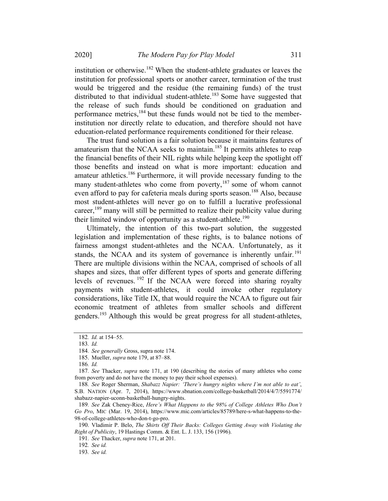institution or otherwise.<sup>182</sup> When the student-athlete graduates or leaves the institution for professional sports or another career, termination of the trust would be triggered and the residue (the remaining funds) of the trust distributed to that individual student-athlete.<sup>183</sup> Some have suggested that the release of such funds should be conditioned on graduation and performance metrics,<sup>184</sup> but these funds would not be tied to the memberinstitution nor directly relate to education, and therefore should not have education-related performance requirements conditioned for their release.

The trust fund solution is a fair solution because it maintains features of amateurism that the NCAA seeks to maintain.<sup>185</sup> It permits athletes to reap the financial benefits of their NIL rights while helping keep the spotlight off those benefits and instead on what is more important: education and amateur athletics.<sup>186</sup> Furthermore, it will provide necessary funding to the many student-athletes who come from poverty,<sup>187</sup> some of whom cannot even afford to pay for cafeteria meals during sports season.<sup>188</sup> Also, because most student-athletes will never go on to fulfill a lucrative professional career,<sup>189</sup> many will still be permitted to realize their publicity value during their limited window of opportunity as a student-athlete.<sup>190</sup>

Ultimately, the intention of this two-part solution, the suggested legislation and implementation of these rights, is to balance notions of fairness amongst student-athletes and the NCAA. Unfortunately, as it stands, the NCAA and its system of governance is inherently unfair.<sup>191</sup> There are multiple divisions within the NCAA, comprised of schools of all shapes and sizes, that offer different types of sports and generate differing levels of revenues. <sup>192</sup> If the NCAA were forced into sharing royalty payments with student-athletes, it could invoke other regulatory considerations, like Title IX, that would require the NCAA to figure out fair economic treatment of athletes from smaller schools and different genders.<sup>193</sup> Although this would be great progress for all student-athletes,

<sup>182</sup>. Id. at 154–55.

<sup>183</sup>. Id.

<sup>184</sup>. See generally Gross, supra note 174.

<sup>185.</sup> Mueller, supra note 179, at 87–88.

<sup>186</sup>. Id.

<sup>187.</sup> See Thacker, *supra* note 171, at 190 (describing the stories of many athletes who come from poverty and do not have the money to pay their school expenses).

<sup>188</sup>. See Roger Sherman, Shabazz Napier: 'There's hungry nights where I'm not able to eat', S.B. NATION (Apr. 7, 2014), https://www.sbnation.com/college-basketball/2014/4/7/5591774/ shabazz-napier-uconn-basketball-hungry-nights.

<sup>189</sup>. See Zak Cheney-Rice, Here's What Happens to the 98% of College Athletes Who Don't Go Pro, MIC (Mar. 19, 2014), https://www.mic.com/articles/85789/here-s-what-happens-to-the-98-of-college-athletes-who-don-t-go-pro.

<sup>190.</sup> Vladimir P. Belo, The Shirts Off Their Backs: Colleges Getting Away with Violating the Right of Publicity, 19 Hastings Comm. & Ent. L. J. 133, 156 (1996).

<sup>191</sup>. See Thacker, supra note 171, at 201.

<sup>192</sup>. See id.

<sup>193</sup>. See id.